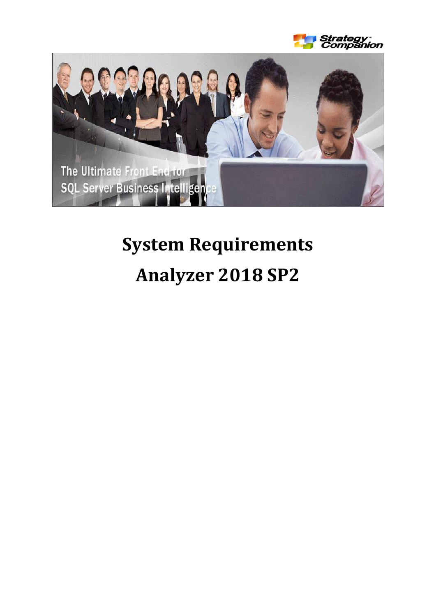



# **System Requirements Analyzer 2018 SP2**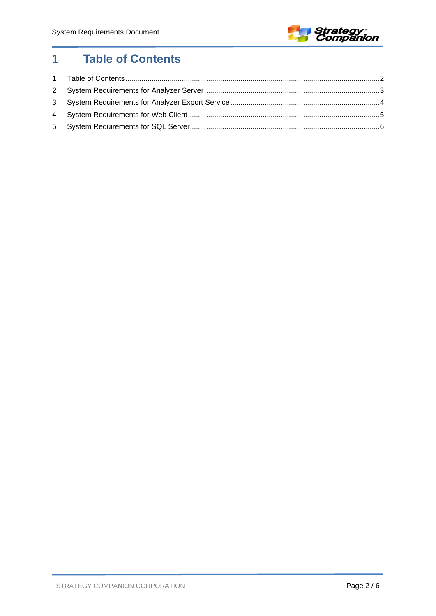

## <span id="page-1-0"></span>**Table of Contents**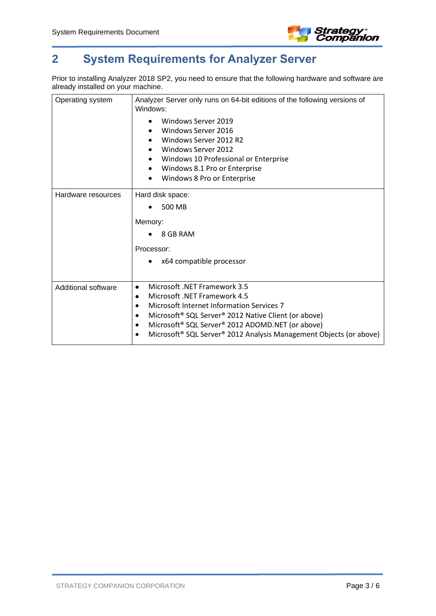

## <span id="page-2-0"></span>**2 System Requirements for Analyzer Server**

Prior to installing Analyzer 2018 SP2, you need to ensure that the following hardware and software are already installed on your machine.

| Operating system           | Analyzer Server only runs on 64-bit editions of the following versions of<br>Windows:                                                                                                                                                                                                                                                                         |
|----------------------------|---------------------------------------------------------------------------------------------------------------------------------------------------------------------------------------------------------------------------------------------------------------------------------------------------------------------------------------------------------------|
|                            | Windows Server 2019<br>Windows Server 2016<br>Windows Server 2012 R2<br><b>Windows Server 2012</b><br>$\bullet$<br>Windows 10 Professional or Enterprise<br>Windows 8.1 Pro or Enterprise<br>٠<br>Windows 8 Pro or Enterprise                                                                                                                                 |
|                            |                                                                                                                                                                                                                                                                                                                                                               |
| Hardware resources         | Hard disk space:                                                                                                                                                                                                                                                                                                                                              |
|                            | 500 MB                                                                                                                                                                                                                                                                                                                                                        |
|                            | Memory:                                                                                                                                                                                                                                                                                                                                                       |
|                            | 8 GB RAM                                                                                                                                                                                                                                                                                                                                                      |
|                            | Processor:                                                                                                                                                                                                                                                                                                                                                    |
|                            | x64 compatible processor                                                                                                                                                                                                                                                                                                                                      |
| <b>Additional software</b> | Microsoft .NET Framework 3.5<br>٠<br>Microsoft .NET Framework 4.5<br>Microsoft Internet Information Services 7<br>Microsoft <sup>®</sup> SQL Server <sup>®</sup> 2012 Native Client (or above)<br>Microsoft® SQL Server® 2012 ADOMD.NET (or above)<br>$\bullet$<br>Microsoft <sup>®</sup> SQL Server <sup>®</sup> 2012 Analysis Management Objects (or above) |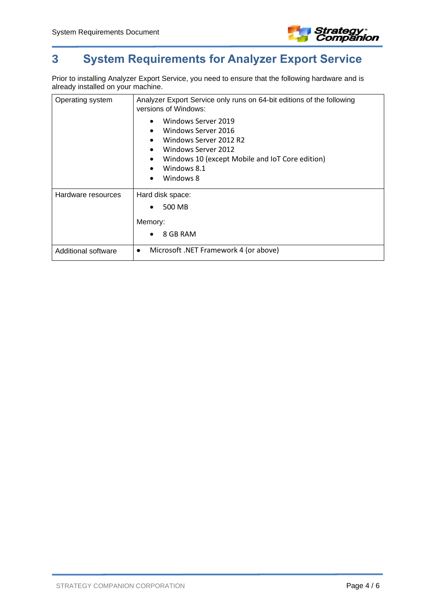

## <span id="page-3-0"></span>**3 System Requirements for Analyzer Export Service**

Prior to installing Analyzer Export Service, you need to ensure that the following hardware and is already installed on your machine.

| Operating system    | Analyzer Export Service only runs on 64-bit editions of the following<br>versions of Windows:                                                                                                                                                         |
|---------------------|-------------------------------------------------------------------------------------------------------------------------------------------------------------------------------------------------------------------------------------------------------|
|                     | Windows Server 2019<br>$\bullet$<br>Windows Server 2016<br>$\bullet$<br>Windows Server 2012 R2<br>٠<br>Windows Server 2012<br>$\bullet$<br>Windows 10 (except Mobile and IoT Core edition)<br>٠<br>Windows 8.1<br>$\bullet$<br>Windows 8<br>$\bullet$ |
| Hardware resources  | Hard disk space:                                                                                                                                                                                                                                      |
|                     | 500 MB<br>٠                                                                                                                                                                                                                                           |
|                     | Memory:                                                                                                                                                                                                                                               |
|                     | 8 GB RAM                                                                                                                                                                                                                                              |
| Additional software | Microsoft .NET Framework 4 (or above)<br>٠                                                                                                                                                                                                            |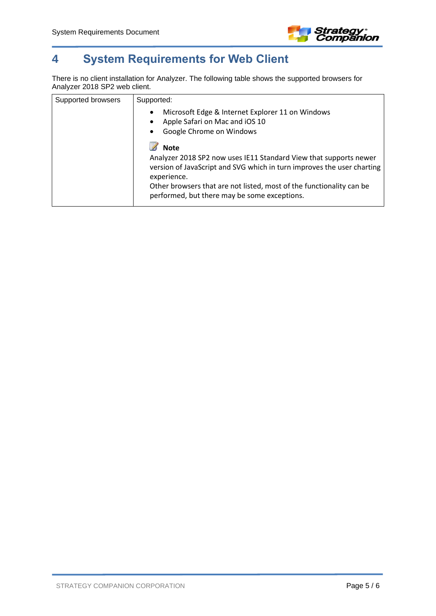

## <span id="page-4-0"></span>**4 System Requirements for Web Client**

There is no client installation for Analyzer. The following table shows the supported browsers for Analyzer 2018 SP2 web client.

| Supported browsers | Supported:                                                                                                                                                                                                                                                                                        |
|--------------------|---------------------------------------------------------------------------------------------------------------------------------------------------------------------------------------------------------------------------------------------------------------------------------------------------|
|                    | Microsoft Edge & Internet Explorer 11 on Windows<br>$\bullet$<br>Apple Safari on Mac and iOS 10<br>$\bullet$<br>Google Chrome on Windows<br>٠                                                                                                                                                     |
|                    | <b>Note</b><br>Analyzer 2018 SP2 now uses IE11 Standard View that supports newer<br>version of JavaScript and SVG which in turn improves the user charting<br>experience.<br>Other browsers that are not listed, most of the functionality can be<br>performed, but there may be some exceptions. |